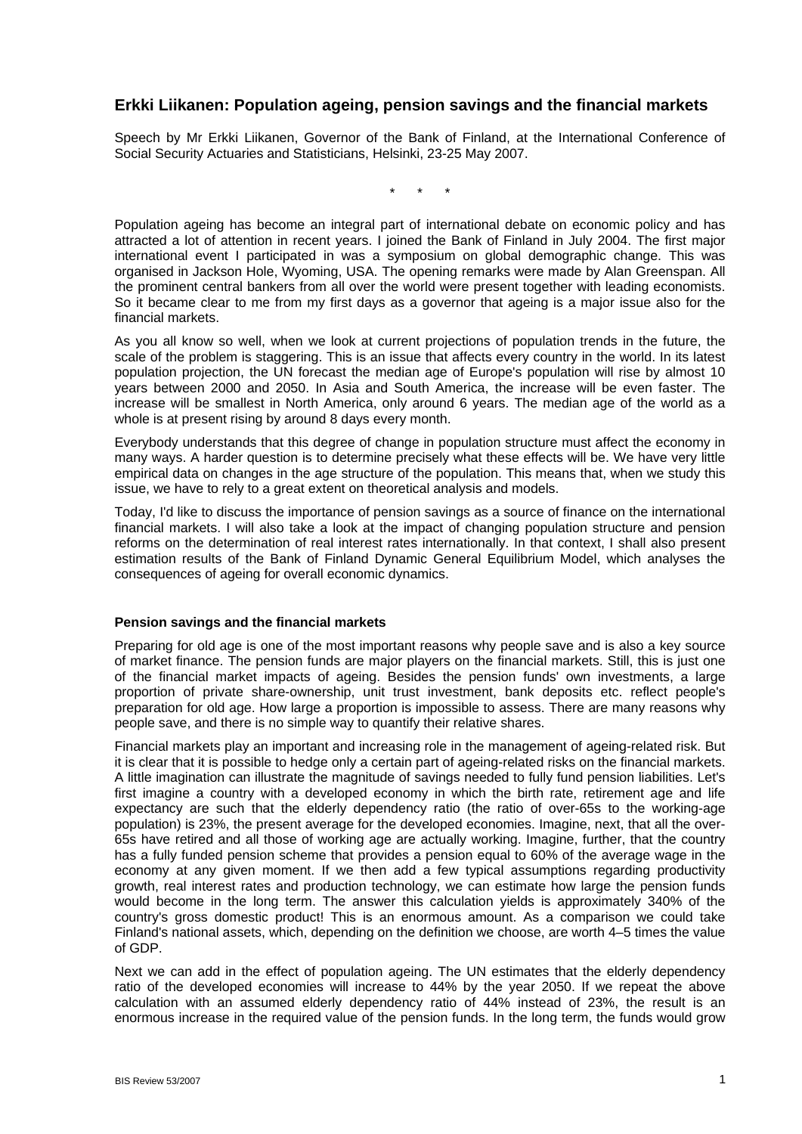# **Erkki Liikanen: Population ageing, pension savings and the financial markets**

Speech by Mr Erkki Liikanen, Governor of the Bank of Finland, at the International Conference of Social Security Actuaries and Statisticians, Helsinki, 23-25 May 2007.

\* \* \*

Population ageing has become an integral part of international debate on economic policy and has attracted a lot of attention in recent years. I joined the Bank of Finland in July 2004. The first major international event I participated in was a symposium on global demographic change. This was organised in Jackson Hole, Wyoming, USA. The opening remarks were made by Alan Greenspan. All the prominent central bankers from all over the world were present together with leading economists. So it became clear to me from my first days as a governor that ageing is a major issue also for the financial markets.

As you all know so well, when we look at current projections of population trends in the future, the scale of the problem is staggering. This is an issue that affects every country in the world. In its latest population projection, the UN forecast the median age of Europe's population will rise by almost 10 years between 2000 and 2050. In Asia and South America, the increase will be even faster. The increase will be smallest in North America, only around 6 years. The median age of the world as a whole is at present rising by around 8 days every month.

Everybody understands that this degree of change in population structure must affect the economy in many ways. A harder question is to determine precisely what these effects will be. We have very little empirical data on changes in the age structure of the population. This means that, when we study this issue, we have to rely to a great extent on theoretical analysis and models.

Today, I'd like to discuss the importance of pension savings as a source of finance on the international financial markets. I will also take a look at the impact of changing population structure and pension reforms on the determination of real interest rates internationally. In that context, I shall also present estimation results of the Bank of Finland Dynamic General Equilibrium Model, which analyses the consequences of ageing for overall economic dynamics.

## **Pension savings and the financial markets**

Preparing for old age is one of the most important reasons why people save and is also a key source of market finance. The pension funds are major players on the financial markets. Still, this is just one of the financial market impacts of ageing. Besides the pension funds' own investments, a large proportion of private share-ownership, unit trust investment, bank deposits etc. reflect people's preparation for old age. How large a proportion is impossible to assess. There are many reasons why people save, and there is no simple way to quantify their relative shares.

Financial markets play an important and increasing role in the management of ageing-related risk. But it is clear that it is possible to hedge only a certain part of ageing-related risks on the financial markets. A little imagination can illustrate the magnitude of savings needed to fully fund pension liabilities. Let's first imagine a country with a developed economy in which the birth rate, retirement age and life expectancy are such that the elderly dependency ratio (the ratio of over-65s to the working-age population) is 23%, the present average for the developed economies. Imagine, next, that all the over-65s have retired and all those of working age are actually working. Imagine, further, that the country has a fully funded pension scheme that provides a pension equal to 60% of the average wage in the economy at any given moment. If we then add a few typical assumptions regarding productivity growth, real interest rates and production technology, we can estimate how large the pension funds would become in the long term. The answer this calculation yields is approximately 340% of the country's gross domestic product! This is an enormous amount. As a comparison we could take Finland's national assets, which, depending on the definition we choose, are worth 4–5 times the value of GDP.

Next we can add in the effect of population ageing. The UN estimates that the elderly dependency ratio of the developed economies will increase to 44% by the year 2050. If we repeat the above calculation with an assumed elderly dependency ratio of 44% instead of 23%, the result is an enormous increase in the required value of the pension funds. In the long term, the funds would grow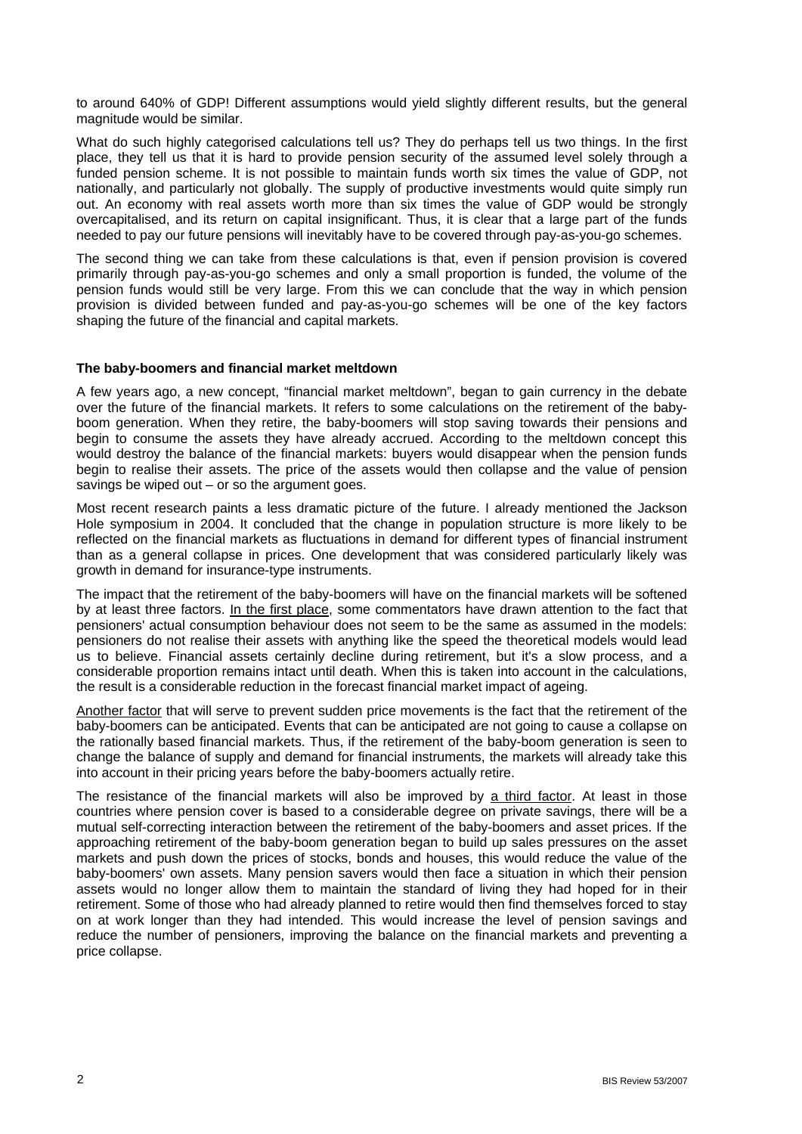to around 640% of GDP! Different assumptions would yield slightly different results, but the general magnitude would be similar.

What do such highly categorised calculations tell us? They do perhaps tell us two things. In the first place, they tell us that it is hard to provide pension security of the assumed level solely through a funded pension scheme. It is not possible to maintain funds worth six times the value of GDP, not nationally, and particularly not globally. The supply of productive investments would quite simply run out. An economy with real assets worth more than six times the value of GDP would be strongly overcapitalised, and its return on capital insignificant. Thus, it is clear that a large part of the funds needed to pay our future pensions will inevitably have to be covered through pay-as-you-go schemes.

The second thing we can take from these calculations is that, even if pension provision is covered primarily through pay-as-you-go schemes and only a small proportion is funded, the volume of the pension funds would still be very large. From this we can conclude that the way in which pension provision is divided between funded and pay-as-you-go schemes will be one of the key factors shaping the future of the financial and capital markets.

## **The baby-boomers and financial market meltdown**

A few years ago, a new concept, "financial market meltdown", began to gain currency in the debate over the future of the financial markets. It refers to some calculations on the retirement of the babyboom generation. When they retire, the baby-boomers will stop saving towards their pensions and begin to consume the assets they have already accrued. According to the meltdown concept this would destroy the balance of the financial markets: buyers would disappear when the pension funds begin to realise their assets. The price of the assets would then collapse and the value of pension savings be wiped out  $-$  or so the argument goes.

Most recent research paints a less dramatic picture of the future. I already mentioned the Jackson Hole symposium in 2004. It concluded that the change in population structure is more likely to be reflected on the financial markets as fluctuations in demand for different types of financial instrument than as a general collapse in prices. One development that was considered particularly likely was growth in demand for insurance-type instruments.

The impact that the retirement of the baby-boomers will have on the financial markets will be softened by at least three factors. In the first place, some commentators have drawn attention to the fact that pensioners' actual consumption behaviour does not seem to be the same as assumed in the models: pensioners do not realise their assets with anything like the speed the theoretical models would lead us to believe. Financial assets certainly decline during retirement, but it's a slow process, and a considerable proportion remains intact until death. When this is taken into account in the calculations, the result is a considerable reduction in the forecast financial market impact of ageing.

Another factor that will serve to prevent sudden price movements is the fact that the retirement of the baby-boomers can be anticipated. Events that can be anticipated are not going to cause a collapse on the rationally based financial markets. Thus, if the retirement of the baby-boom generation is seen to change the balance of supply and demand for financial instruments, the markets will already take this into account in their pricing years before the baby-boomers actually retire.

The resistance of the financial markets will also be improved by a third factor. At least in those countries where pension cover is based to a considerable degree on private savings, there will be a mutual self-correcting interaction between the retirement of the baby-boomers and asset prices. If the approaching retirement of the baby-boom generation began to build up sales pressures on the asset markets and push down the prices of stocks, bonds and houses, this would reduce the value of the baby-boomers' own assets. Many pension savers would then face a situation in which their pension assets would no longer allow them to maintain the standard of living they had hoped for in their retirement. Some of those who had already planned to retire would then find themselves forced to stay on at work longer than they had intended. This would increase the level of pension savings and reduce the number of pensioners, improving the balance on the financial markets and preventing a price collapse.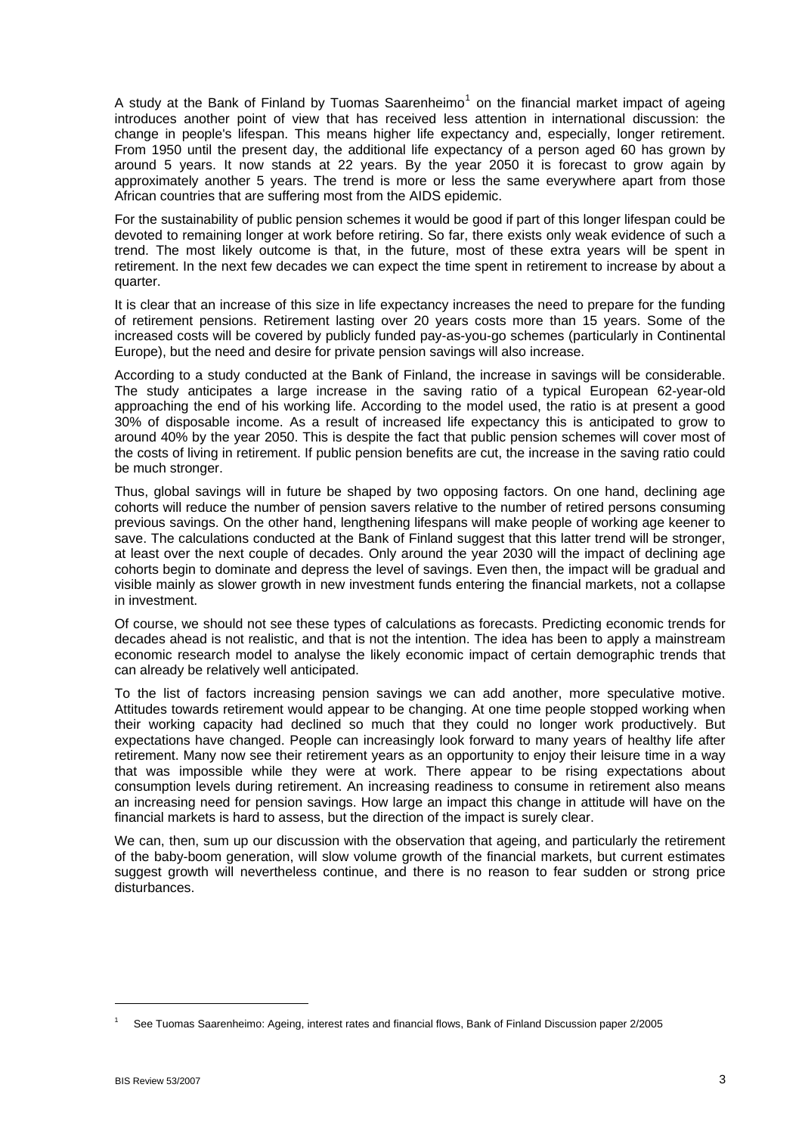A study at the Bank of Finland by Tuomas Saarenheimo<sup>[1](#page-2-0)</sup> on the financial market impact of ageing introduces another point of view that has received less attention in international discussion: the change in people's lifespan. This means higher life expectancy and, especially, longer retirement. From 1950 until the present day, the additional life expectancy of a person aged 60 has grown by around 5 years. It now stands at 22 years. By the year 2050 it is forecast to grow again by approximately another 5 years. The trend is more or less the same everywhere apart from those African countries that are suffering most from the AIDS epidemic.

For the sustainability of public pension schemes it would be good if part of this longer lifespan could be devoted to remaining longer at work before retiring. So far, there exists only weak evidence of such a trend. The most likely outcome is that, in the future, most of these extra years will be spent in retirement. In the next few decades we can expect the time spent in retirement to increase by about a quarter.

It is clear that an increase of this size in life expectancy increases the need to prepare for the funding of retirement pensions. Retirement lasting over 20 years costs more than 15 years. Some of the increased costs will be covered by publicly funded pay-as-you-go schemes (particularly in Continental Europe), but the need and desire for private pension savings will also increase.

According to a study conducted at the Bank of Finland, the increase in savings will be considerable. The study anticipates a large increase in the saving ratio of a typical European 62-year-old approaching the end of his working life. According to the model used, the ratio is at present a good 30% of disposable income. As a result of increased life expectancy this is anticipated to grow to around 40% by the year 2050. This is despite the fact that public pension schemes will cover most of the costs of living in retirement. If public pension benefits are cut, the increase in the saving ratio could be much stronger.

Thus, global savings will in future be shaped by two opposing factors. On one hand, declining age cohorts will reduce the number of pension savers relative to the number of retired persons consuming previous savings. On the other hand, lengthening lifespans will make people of working age keener to save. The calculations conducted at the Bank of Finland suggest that this latter trend will be stronger, at least over the next couple of decades. Only around the year 2030 will the impact of declining age cohorts begin to dominate and depress the level of savings. Even then, the impact will be gradual and visible mainly as slower growth in new investment funds entering the financial markets, not a collapse in investment.

Of course, we should not see these types of calculations as forecasts. Predicting economic trends for decades ahead is not realistic, and that is not the intention. The idea has been to apply a mainstream economic research model to analyse the likely economic impact of certain demographic trends that can already be relatively well anticipated.

To the list of factors increasing pension savings we can add another, more speculative motive. Attitudes towards retirement would appear to be changing. At one time people stopped working when their working capacity had declined so much that they could no longer work productively. But expectations have changed. People can increasingly look forward to many years of healthy life after retirement. Many now see their retirement years as an opportunity to enjoy their leisure time in a way that was impossible while they were at work. There appear to be rising expectations about consumption levels during retirement. An increasing readiness to consume in retirement also means an increasing need for pension savings. How large an impact this change in attitude will have on the financial markets is hard to assess, but the direction of the impact is surely clear.

We can, then, sum up our discussion with the observation that ageing, and particularly the retirement of the baby-boom generation, will slow volume growth of the financial markets, but current estimates suggest growth will nevertheless continue, and there is no reason to fear sudden or strong price disturbances.

1

<span id="page-2-0"></span><sup>1</sup> See Tuomas Saarenheimo: Ageing, interest rates and financial flows, Bank of Finland Discussion paper 2/2005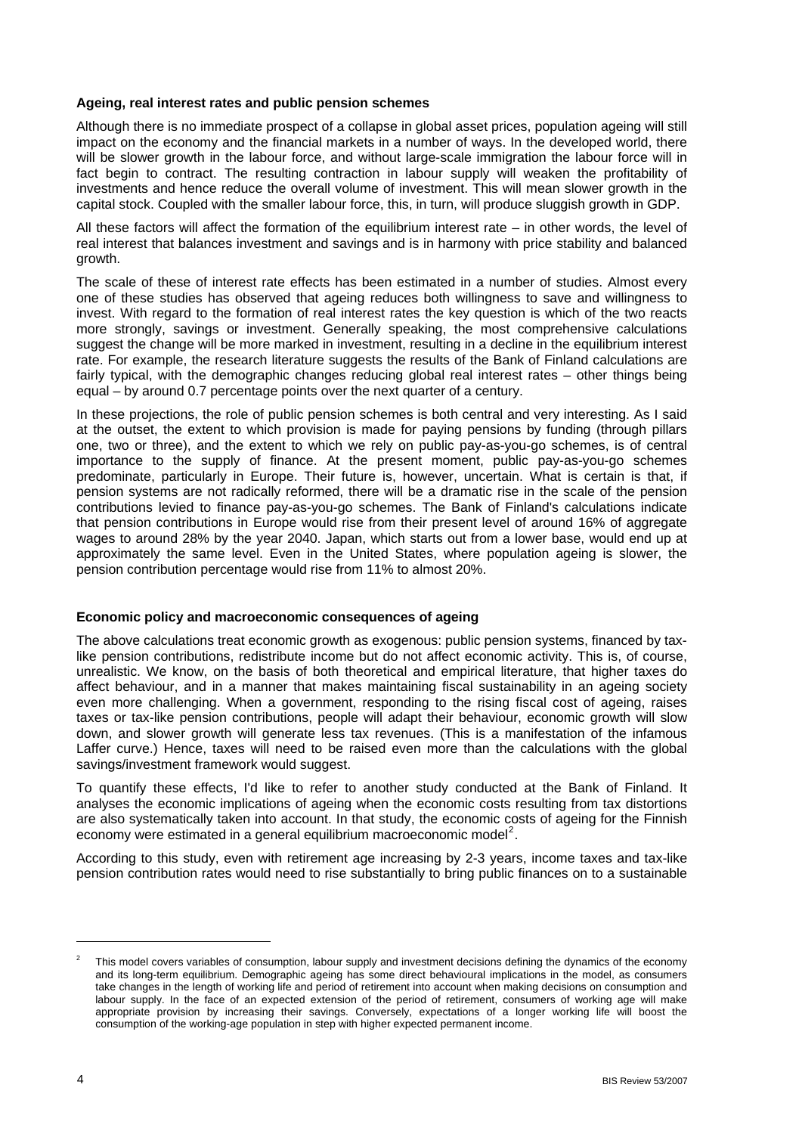# **Ageing, real interest rates and public pension schemes**

Although there is no immediate prospect of a collapse in global asset prices, population ageing will still impact on the economy and the financial markets in a number of ways. In the developed world, there will be slower growth in the labour force, and without large-scale immigration the labour force will in fact begin to contract. The resulting contraction in labour supply will weaken the profitability of investments and hence reduce the overall volume of investment. This will mean slower growth in the capital stock. Coupled with the smaller labour force, this, in turn, will produce sluggish growth in GDP.

All these factors will affect the formation of the equilibrium interest rate – in other words, the level of real interest that balances investment and savings and is in harmony with price stability and balanced growth.

The scale of these of interest rate effects has been estimated in a number of studies. Almost every one of these studies has observed that ageing reduces both willingness to save and willingness to invest. With regard to the formation of real interest rates the key question is which of the two reacts more strongly, savings or investment. Generally speaking, the most comprehensive calculations suggest the change will be more marked in investment, resulting in a decline in the equilibrium interest rate. For example, the research literature suggests the results of the Bank of Finland calculations are fairly typical, with the demographic changes reducing global real interest rates – other things being equal – by around 0.7 percentage points over the next quarter of a century.

In these projections, the role of public pension schemes is both central and very interesting. As I said at the outset, the extent to which provision is made for paying pensions by funding (through pillars one, two or three), and the extent to which we rely on public pay-as-you-go schemes, is of central importance to the supply of finance. At the present moment, public pay-as-you-go schemes predominate, particularly in Europe. Their future is, however, uncertain. What is certain is that, if pension systems are not radically reformed, there will be a dramatic rise in the scale of the pension contributions levied to finance pay-as-you-go schemes. The Bank of Finland's calculations indicate that pension contributions in Europe would rise from their present level of around 16% of aggregate wages to around 28% by the year 2040. Japan, which starts out from a lower base, would end up at approximately the same level. Even in the United States, where population ageing is slower, the pension contribution percentage would rise from 11% to almost 20%.

## **Economic policy and macroeconomic consequences of ageing**

The above calculations treat economic growth as exogenous: public pension systems, financed by taxlike pension contributions, redistribute income but do not affect economic activity. This is, of course, unrealistic. We know, on the basis of both theoretical and empirical literature, that higher taxes do affect behaviour, and in a manner that makes maintaining fiscal sustainability in an ageing society even more challenging. When a government, responding to the rising fiscal cost of ageing, raises taxes or tax-like pension contributions, people will adapt their behaviour, economic growth will slow down, and slower growth will generate less tax revenues. (This is a manifestation of the infamous Laffer curve.) Hence, taxes will need to be raised even more than the calculations with the global savings/investment framework would suggest.

To quantify these effects, I'd like to refer to another study conducted at the Bank of Finland. It analyses the economic implications of ageing when the economic costs resulting from tax distortions are also systematically taken into account. In that study, the economic costs of ageing for the Finnish economy were estimated in a general equilibrium macroeconomic model<sup>[2](#page-3-0)</sup>.

According to this study, even with retirement age increasing by 2-3 years, income taxes and tax-like pension contribution rates would need to rise substantially to bring public finances on to a sustainable

l

<span id="page-3-0"></span><sup>2</sup> This model covers variables of consumption, labour supply and investment decisions defining the dynamics of the economy and its long-term equilibrium. Demographic ageing has some direct behavioural implications in the model, as consumers take changes in the length of working life and period of retirement into account when making decisions on consumption and labour supply. In the face of an expected extension of the period of retirement, consumers of working age will make appropriate provision by increasing their savings. Conversely, expectations of a longer working life will boost the consumption of the working-age population in step with higher expected permanent income.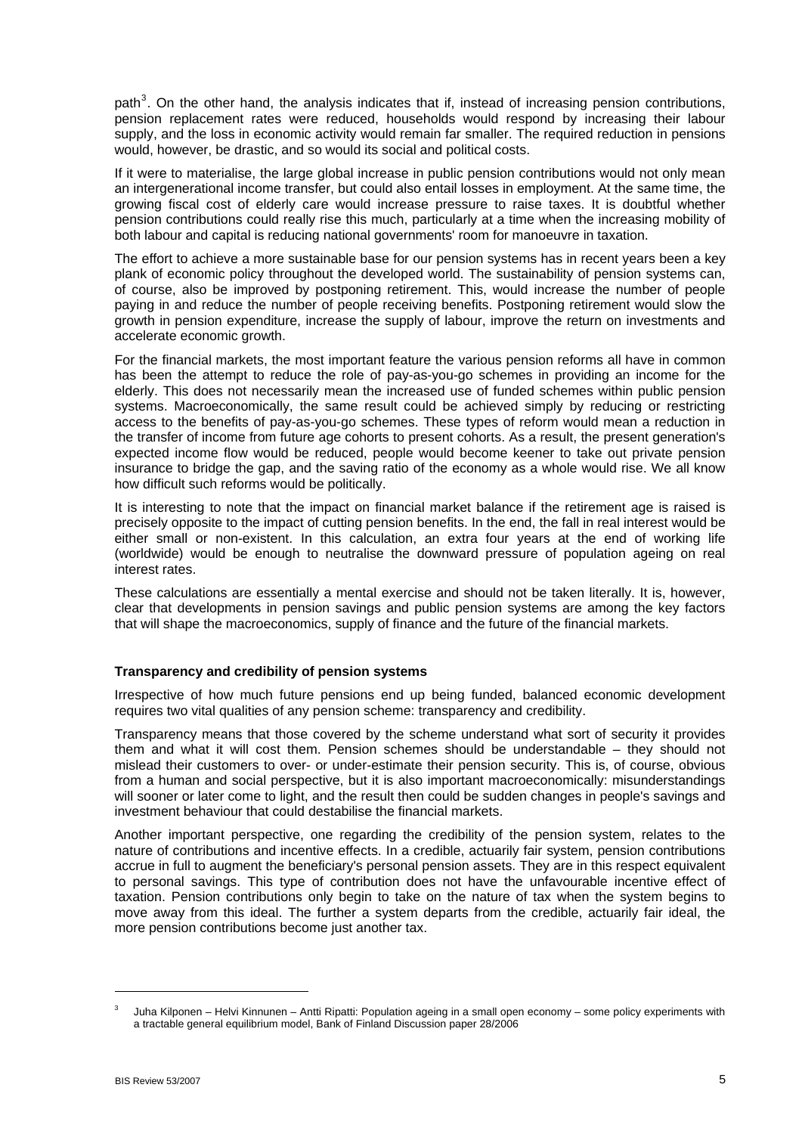path<sup>[3](#page-4-0)</sup>. On the other hand, the analysis indicates that if, instead of increasing pension contributions, pension replacement rates were reduced, households would respond by increasing their labour supply, and the loss in economic activity would remain far smaller. The required reduction in pensions would, however, be drastic, and so would its social and political costs.

If it were to materialise, the large global increase in public pension contributions would not only mean an intergenerational income transfer, but could also entail losses in employment. At the same time, the growing fiscal cost of elderly care would increase pressure to raise taxes. It is doubtful whether pension contributions could really rise this much, particularly at a time when the increasing mobility of both labour and capital is reducing national governments' room for manoeuvre in taxation.

The effort to achieve a more sustainable base for our pension systems has in recent years been a key plank of economic policy throughout the developed world. The sustainability of pension systems can, of course, also be improved by postponing retirement. This, would increase the number of people paying in and reduce the number of people receiving benefits. Postponing retirement would slow the growth in pension expenditure, increase the supply of labour, improve the return on investments and accelerate economic growth.

For the financial markets, the most important feature the various pension reforms all have in common has been the attempt to reduce the role of pay-as-you-go schemes in providing an income for the elderly. This does not necessarily mean the increased use of funded schemes within public pension systems. Macroeconomically, the same result could be achieved simply by reducing or restricting access to the benefits of pay-as-you-go schemes. These types of reform would mean a reduction in the transfer of income from future age cohorts to present cohorts. As a result, the present generation's expected income flow would be reduced, people would become keener to take out private pension insurance to bridge the gap, and the saving ratio of the economy as a whole would rise. We all know how difficult such reforms would be politically.

It is interesting to note that the impact on financial market balance if the retirement age is raised is precisely opposite to the impact of cutting pension benefits. In the end, the fall in real interest would be either small or non-existent. In this calculation, an extra four years at the end of working life (worldwide) would be enough to neutralise the downward pressure of population ageing on real interest rates.

These calculations are essentially a mental exercise and should not be taken literally. It is, however, clear that developments in pension savings and public pension systems are among the key factors that will shape the macroeconomics, supply of finance and the future of the financial markets.

# **Transparency and credibility of pension systems**

Irrespective of how much future pensions end up being funded, balanced economic development requires two vital qualities of any pension scheme: transparency and credibility.

Transparency means that those covered by the scheme understand what sort of security it provides them and what it will cost them. Pension schemes should be understandable – they should not mislead their customers to over- or under-estimate their pension security. This is, of course, obvious from a human and social perspective, but it is also important macroeconomically: misunderstandings will sooner or later come to light, and the result then could be sudden changes in people's savings and investment behaviour that could destabilise the financial markets.

Another important perspective, one regarding the credibility of the pension system, relates to the nature of contributions and incentive effects. In a credible, actuarily fair system, pension contributions accrue in full to augment the beneficiary's personal pension assets. They are in this respect equivalent to personal savings. This type of contribution does not have the unfavourable incentive effect of taxation. Pension contributions only begin to take on the nature of tax when the system begins to move away from this ideal. The further a system departs from the credible, actuarily fair ideal, the more pension contributions become just another tax.

-

<span id="page-4-0"></span><sup>3</sup> Juha Kilponen – Helvi Kinnunen – Antti Ripatti: Population ageing in a small open economy – some policy experiments with a tractable general equilibrium model, Bank of Finland Discussion paper 28/2006